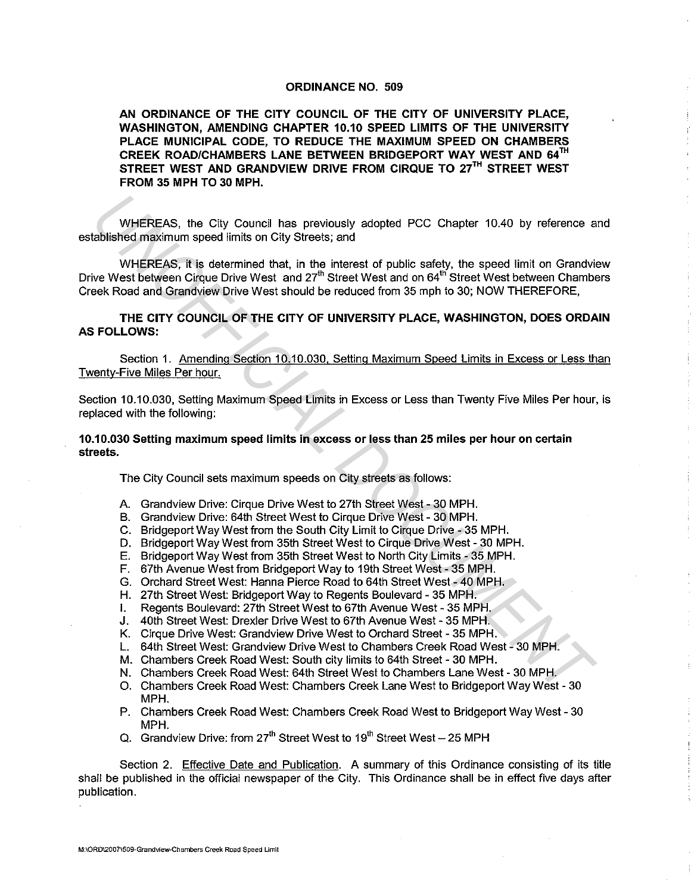## ORDINANCE NO. 509

AN ORDINANCE OF THE CITY COUNCIL OF THE CITY OF UNIVERSITY PLACE, WASHINGTON, AMENDING CHAPTER 10.10 SPEED LIMITS OF THE UNIVERSITY PLACE MUNICIPAL CODE, TO REDUCE THE MAXIMUM SPEED ON CHAMBERS CREEK ROAD/CHAMBERS LANE BETWEEN BRIDGEPORT WAY WEST AND 54TH STREET WEST AND GRANDVIEW DRIVE FROM CIRQUE TO 27TH STREET WEST FROM 35 MPH TO 30 MPH.

WHEREAS, the City Council has previously adopted PCC Chapter 10.40 by reference and established maximum speed limits on City Streets; and

WHEREAS, it is determined that, in the interest of public safety, the speed limit on Grandview Drive West between Cirque Drive West and 27<sup>th</sup> Street West and on 64<sup>th</sup> Street West between Chambers Creek Road and Grandview Drive West should be reduced from 35 mph to 30; NOW THEREFORE, WHEREAS, the City Council has previously adopted PCC Chapter 10.40 by reference a<br>abilished maximum speed limits on City Streets; and<br>WHEREAS, it is determined that, in the interest of public safety, the speed limit on Gra

THE CITY COUNCIL OF THE CITY OF UNIVERSITY PLACE, WASHINGTON, DOES ORDAIN AS FOLLOWS:

Section 1. Amending Section 10.10.030, Setting Maximum Speed Limits in Excess or Less than Twenty-Five Miles Per hour.

Section 10.10.030, Setting Maximum Speed Limits in Excess or Less than Twenty Five Miles Per hour, is replaced with the following:

10.10.030 Setting maximum speed limits in excess or less than 25 miles per hour on certain streets.

The City Council sets maximum speeds on City streets as follows:

- A. Grandview Drive: Cirque Drive West to 27th Street West 30 MPH.
- B. Grandview Drive: 64th Street West to Cirque Drive West 30 MPH.
- C. Bridgeport Way West from the South City Limit to Cirque Drive 35 MPH.
- D. Bridgeport Way West from 35th Street West to Cirque Drive West 30 MPH.
- E. Bridgeport Way West from 35th Street West to North City Limits 35 MPH.
- F. 67th Avenue West from Bridgeport Way to 19th Street West 35 MPH.
- G. Orchard Street West: Hanna Pierce Road to 64th Street West 40 MPH.
- H. 27th Street West: Bridgeport Way to Regents Boulevard 35 MPH.
- I. Regents Boulevard: 27th Street West to 67th Avenue West 35 MPH.
- J. 40th Street West: Drexler Drive West to 67th Avenue West 35 MPH.
- K. Cirque Drive West: Grandview Drive West to Orchard Street 35 MPH.
- L. 64th Street West: Grandview Drive West to Chambers Creek Road West 30 MPH.
- M. Chambers Creek Road West: South city limits to 64th Street 30 MPH.
- N. Chambers Creek Road West: 64th Street West to Chambers Lane West 30 MPH.
- 0. Chambers Creek Road West: Chambers Creek Lane West to Bridgeport Way West 30 MPH.
- P. Chambers Creek Road West: Chambers Creek Road West to Bridgeport Way West 30 MPH.
- Q. Grandview Drive: from  $27<sup>th</sup>$  Street West to 19<sup>th</sup> Street West 25 MPH

Section 2. Effective Date and Publication. A summary of this Ordinance consisting of its title shall be published in the official newspaper of the City. This Ordinance shall be in effect five days after publication.